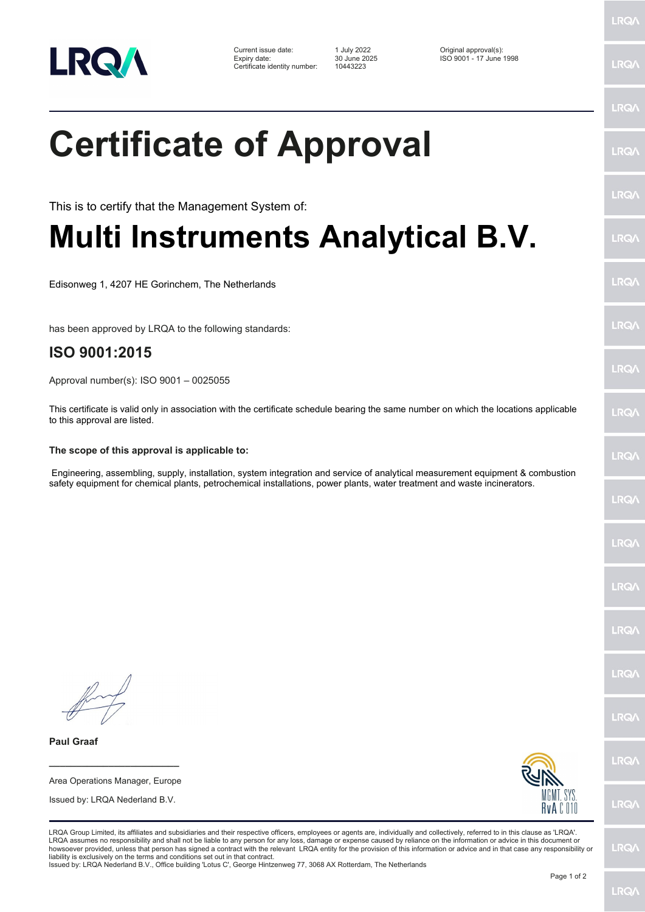

Current issue date: 1 July 2022 Original approval(s): Expiry date: 30 June 2025 ISO 9001 - 17 June 1998 Certificate identity number: 10443223

## **Certificate of Approval**

This is to certify that the Management System of:

## **Multi Instruments Analytical B.V.**

Edisonweg 1, 4207 HE Gorinchem, The Netherlands

has been approved by LRQA to the following standards:

## **ISO 9001:2015**

Approval number(s): ISO 9001 – 0025055

This certificate is valid only in association with the certificate schedule bearing the same number on which the locations applicable to this approval are listed.

## **The scope of this approval is applicable to:**

 Engineering, assembling, supply, installation, system integration and service of analytical measurement equipment & combustion safety equipment for chemical plants, petrochemical installations, power plants, water treatment and waste incinerators.

**\_\_\_\_\_\_\_\_\_\_\_\_\_\_\_\_\_\_\_\_\_\_\_\_** Area Operations Manager, Europe Issued by: LRQA Nederland B.V.

**Paul Graaf**



LRQA Group Limited, its affiliates and subsidiaries and their respective officers, employees or agents are, individually and collectively, referred to in this clause as 'LRQA'. LRQA assumes no responsibility and shall not be liable to any person for any loss, damage or expense caused by reliance on the information or advice in this document or<br>howsoever provided, unless that person has signed a c liability is exclusively on the terms and conditions set out in that contract. Issued by: LRQA Nederland B.V., Office building 'Lotus C', George Hintzenweg 77, 3068 AX Rotterdam, The Netherlands

LRQ/

LRQ/

LRQ/

LRQ/

LRQ/

LRQ/

LRQ/

**LRQA** 

**LRO** 

LRQ/

LRQ/

LRQ/

LRQ/

LRQ/

**LRO/** 

LRQ/

LRQ/

LRQ/

LRQ/